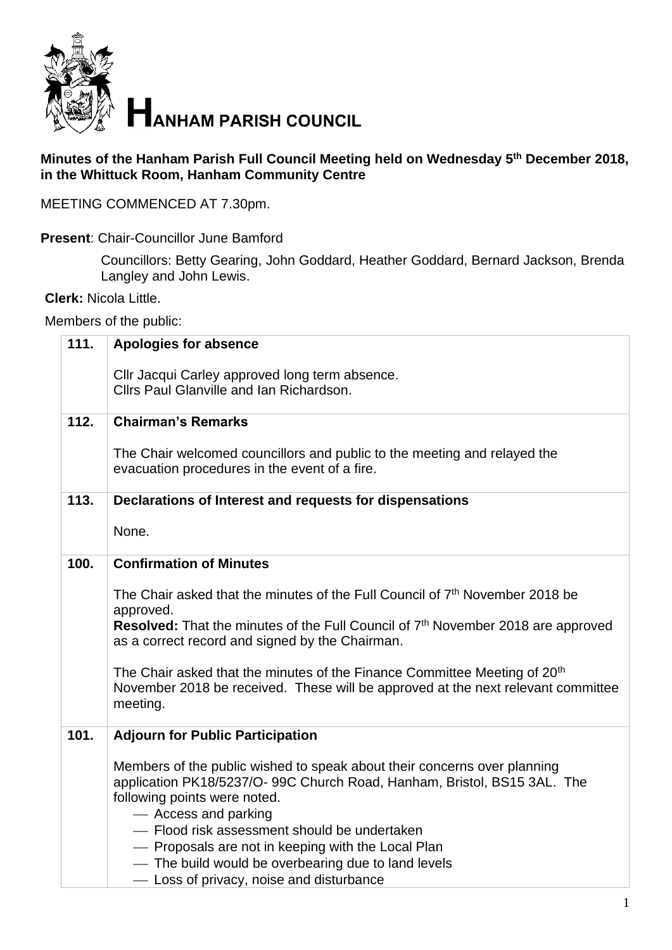

## **Minutes of the Hanham Parish Full Council Meeting held on Wednesday 5 th December 2018, in the Whittuck Room, Hanham Community Centre**

MEETING COMMENCED AT 7.30pm.

**Present**: Chair-Councillor June Bamford

Councillors: Betty Gearing, John Goddard, Heather Goddard, Bernard Jackson, Brenda Langley and John Lewis.

**Clerk:** Nicola Little.

Members of the public:

| 111. | <b>Apologies for absence</b>                                                                                                                                                          |
|------|---------------------------------------------------------------------------------------------------------------------------------------------------------------------------------------|
|      | Cllr Jacqui Carley approved long term absence.<br>Cllrs Paul Glanville and Ian Richardson.                                                                                            |
| 112. | <b>Chairman's Remarks</b>                                                                                                                                                             |
|      | The Chair welcomed councillors and public to the meeting and relayed the<br>evacuation procedures in the event of a fire.                                                             |
| 113. | Declarations of Interest and requests for dispensations                                                                                                                               |
|      | None.                                                                                                                                                                                 |
| 100. | <b>Confirmation of Minutes</b>                                                                                                                                                        |
|      | The Chair asked that the minutes of the Full Council of 7 <sup>th</sup> November 2018 be<br>approved.                                                                                 |
|      | Resolved: That the minutes of the Full Council of 7 <sup>th</sup> November 2018 are approved<br>as a correct record and signed by the Chairman.                                       |
|      | The Chair asked that the minutes of the Finance Committee Meeting of 20 <sup>th</sup><br>November 2018 be received. These will be approved at the next relevant committee<br>meeting. |
| 101. | <b>Adjourn for Public Participation</b>                                                                                                                                               |
|      | Members of the public wished to speak about their concerns over planning                                                                                                              |
|      | application PK18/5237/O- 99C Church Road, Hanham, Bristol, BS15 3AL. The<br>following points were noted.                                                                              |
|      | - Access and parking                                                                                                                                                                  |
|      | - Flood risk assessment should be undertaken                                                                                                                                          |
|      | - Proposals are not in keeping with the Local Plan<br>- The build would be overbearing due to land levels                                                                             |
|      | - Loss of privacy, noise and disturbance                                                                                                                                              |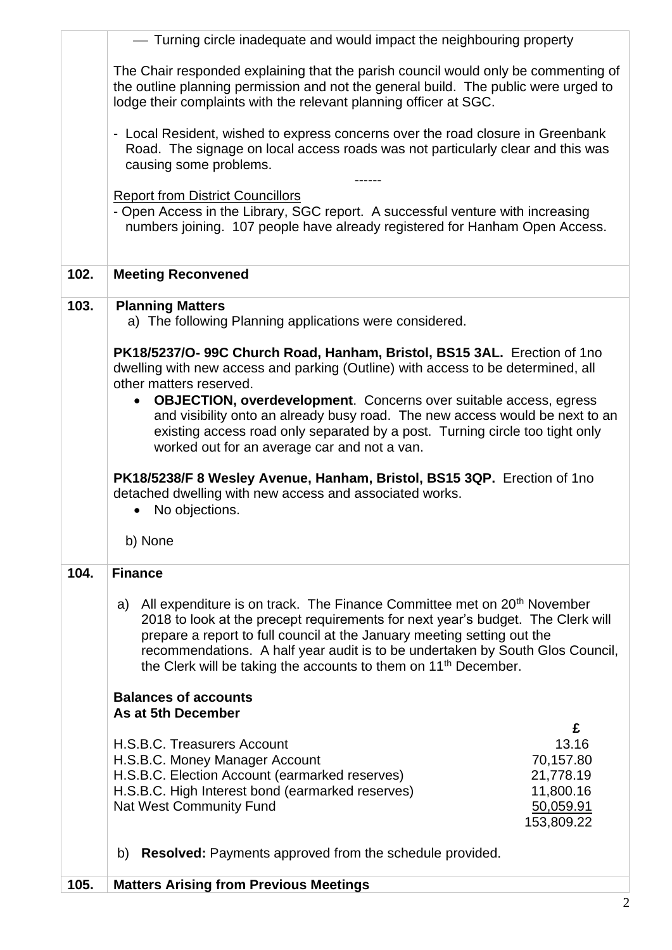|      | - Turning circle inadequate and would impact the neighbouring property                                                                                                                                                                                                                                                                                                                                                                                                                          |
|------|-------------------------------------------------------------------------------------------------------------------------------------------------------------------------------------------------------------------------------------------------------------------------------------------------------------------------------------------------------------------------------------------------------------------------------------------------------------------------------------------------|
|      | The Chair responded explaining that the parish council would only be commenting of<br>the outline planning permission and not the general build. The public were urged to<br>lodge their complaints with the relevant planning officer at SGC.                                                                                                                                                                                                                                                  |
|      | - Local Resident, wished to express concerns over the road closure in Greenbank<br>Road. The signage on local access roads was not particularly clear and this was<br>causing some problems.                                                                                                                                                                                                                                                                                                    |
|      | <b>Report from District Councillors</b><br>- Open Access in the Library, SGC report. A successful venture with increasing<br>numbers joining. 107 people have already registered for Hanham Open Access.                                                                                                                                                                                                                                                                                        |
| 102. | <b>Meeting Reconvened</b>                                                                                                                                                                                                                                                                                                                                                                                                                                                                       |
| 103. | <b>Planning Matters</b><br>a) The following Planning applications were considered.                                                                                                                                                                                                                                                                                                                                                                                                              |
|      | PK18/5237/O-99C Church Road, Hanham, Bristol, BS15 3AL. Erection of 1no<br>dwelling with new access and parking (Outline) with access to be determined, all<br>other matters reserved.<br><b>OBJECTION, overdevelopment.</b> Concerns over suitable access, egress<br>$\bullet$<br>and visibility onto an already busy road. The new access would be next to an<br>existing access road only separated by a post. Turning circle too tight only<br>worked out for an average car and not a van. |
|      | PK18/5238/F 8 Wesley Avenue, Hanham, Bristol, BS15 3QP. Erection of 1no<br>detached dwelling with new access and associated works.                                                                                                                                                                                                                                                                                                                                                              |
|      | No objections.<br>$\bullet$                                                                                                                                                                                                                                                                                                                                                                                                                                                                     |
|      | b) None                                                                                                                                                                                                                                                                                                                                                                                                                                                                                         |
| 104. | <b>Finance</b><br>All expenditure is on track. The Finance Committee met on 20 <sup>th</sup> November<br>a)<br>2018 to look at the precept requirements for next year's budget. The Clerk will<br>prepare a report to full council at the January meeting setting out the<br>recommendations. A half year audit is to be undertaken by South Glos Council,<br>the Clerk will be taking the accounts to them on 11 <sup>th</sup> December.                                                       |
|      | <b>Balances of accounts</b><br>As at 5th December                                                                                                                                                                                                                                                                                                                                                                                                                                               |
|      | £<br>13.16<br>H.S.B.C. Treasurers Account<br>70,157.80<br>H.S.B.C. Money Manager Account<br>H.S.B.C. Election Account (earmarked reserves)<br>21,778.19<br>11,800.16<br>H.S.B.C. High Interest bond (earmarked reserves)<br><b>Nat West Community Fund</b><br>50,059.91<br>153,809.22                                                                                                                                                                                                           |
|      | <b>Resolved:</b> Payments approved from the schedule provided.<br>b)                                                                                                                                                                                                                                                                                                                                                                                                                            |